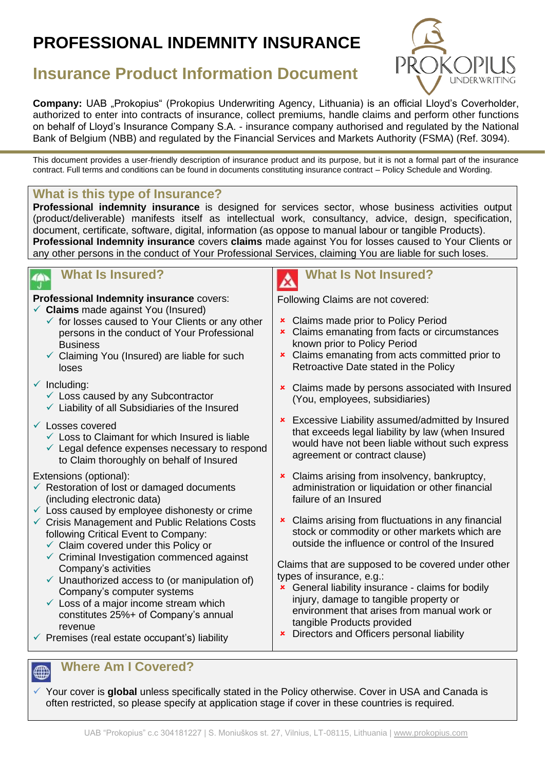# **PROFESSIONAL INDEMNITY INSURANCE**



## **Insurance Product Information Document**

**Company:** UAB "Prokopius" (Prokopius Underwriting Agency, Lithuania) is an official Lloyd's Coverholder, authorized to enter into contracts of insurance, collect premiums, handle claims and perform other functions on behalf of Lloyd's Insurance Company S.A. - insurance company authorised and regulated by the National Bank of Belgium (NBB) and regulated by the Financial Services and Markets Authority (FSMA) (Ref. 3094).

This document provides a user-friendly description of insurance product and its purpose, but it is not a formal part of the insurance contract. Full terms and conditions can be found in documents constituting insurance contract – Policy Schedule and Wording.

#### **What is this type of Insurance?**

**Professional indemnity insurance** is designed for services sector, whose business activities output (product/deliverable) manifests itself as intellectual work, consultancy, advice, design, specification, document, certificate, software, digital, information (as oppose to manual labour or tangible Products). **Professional Indemnity insurance** covers **claims** made against You for losses caused to Your Clients or any other persons in the conduct of Your Professional Services, claiming You are liable for such loses.

#### **What Is Insured?**

**Professional Indemnity insurance** covers:

- ✓ **Claims** made against You (Insured)
	- $\checkmark$  for losses caused to Your Clients or any other persons in the conduct of Your Professional **Business**
	- $\checkmark$  Claiming You (Insured) are liable for such loses
- $\checkmark$  Including:
	- $\checkmark$  Loss caused by any Subcontractor
	- $\checkmark$  Liability of all Subsidiaries of the Insured
- ✓ Losses covered
	- $\checkmark$  Loss to Claimant for which Insured is liable
	- $\checkmark$  Legal defence expenses necessary to respond to Claim thoroughly on behalf of Insured

#### Extensions (optional):

- $\checkmark$  Restoration of lost or damaged documents (including electronic data)
- $\checkmark$  Loss caused by employee dishonesty or crime
- ✓ Crisis Management and Public Relations Costs following Critical Event to Company:
	- $\checkmark$  Claim covered under this Policy or
	- $\checkmark$  Criminal Investigation commenced against Company's activities
	- $\checkmark$  Unauthorized access to (or manipulation of) Company's computer systems
	- $\checkmark$  Loss of a major income stream which constitutes 25%+ of Company's annual revenue
- $\checkmark$  Premises (real estate occupant's) liability

## **What Is Not Insured?**

Following Claims are not covered:

- **\*** Claims made prior to Policy Period
- **x** Claims emanating from facts or circumstances known prior to Policy Period
- **x** Claims emanating from acts committed prior to Retroactive Date stated in the Policy
- **x** Claims made by persons associated with Insured (You, employees, subsidiaries)
- **\*** Excessive Liability assumed/admitted by Insured that exceeds legal liability by law (when Insured would have not been liable without such express agreement or contract clause)
- **EX** Claims arising from insolvency, bankruptcy, administration or liquidation or other financial failure of an Insured
- **x** Claims arising from fluctuations in any financial stock or commodity or other markets which are outside the influence or control of the Insured

Claims that are supposed to be covered under other types of insurance, e.g.:

- **\*** General liability insurance claims for bodily injury, damage to tangible property or environment that arises from manual work or tangible Products provided
- **\*** Directors and Officers personal liability

## **<sup>***m***</sup>** Where Am I Covered?

✓ Your cover is **global** unless specifically stated in the Policy otherwise. Cover in USA and Canada is often restricted, so please specify at application stage if cover in these countries is required.